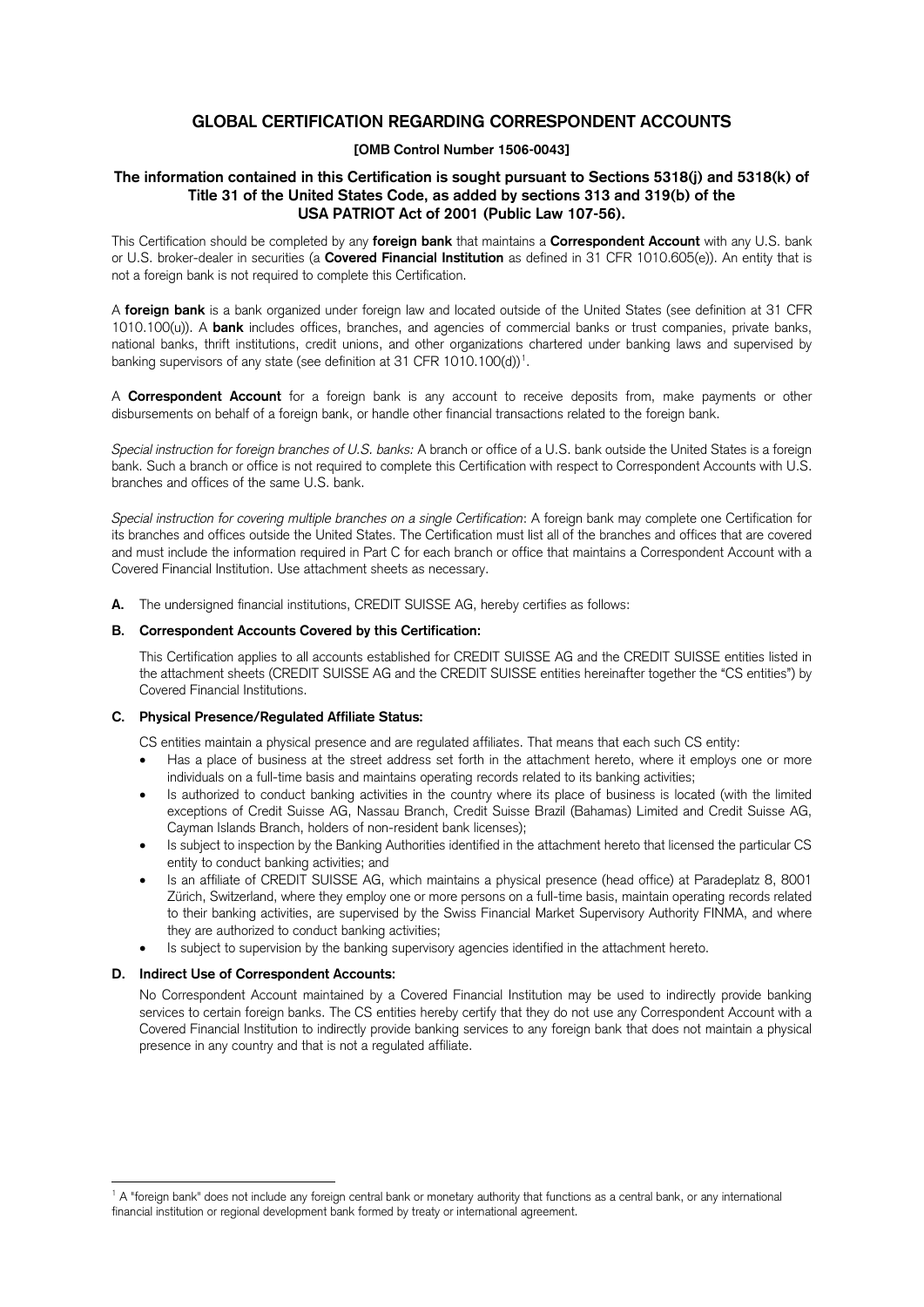# **GLOBAL CERTIFICATION REGARDING CORRESPONDENT ACCOUNTS**

# **[OMB Control Number 1506-0043]**

# **The information contained in this Certification is sought pursuant to Sections 5318(j) and 5318(k) of Title 31 of the United States Code, as added by sections 313 and 319(b) of the USA PATRIOT Act of 2001 (Public Law 107-56).**

This Certification should be completed by any **foreign bank** that maintains a **Correspondent Account** with any U.S. bank or U.S. broker-dealer in securities (a **Covered Financial Institution** as defined in 31 CFR 1010.605(e)). An entity that is not a foreign bank is not required to complete this Certification.

A **foreign bank** is a bank organized under foreign law and located outside of the United States (see definition at 31 CFR 1010.100(u)). A **bank** includes offices, branches, and agencies of commercial banks or trust companies, private banks, national banks, thrift institutions, credit unions, and other organizations chartered under banking laws and supervised by banking supervisors of any state (see definition at 3[1](#page-0-0) CFR 1010.100(d))<sup>1</sup>.

A **Correspondent Account** for a foreign bank is any account to receive deposits from, make payments or other disbursements on behalf of a foreign bank, or handle other financial transactions related to the foreign bank.

*Special instruction for foreign branches of U.S. banks:* A branch or office of a U.S. bank outside the United States is a foreign bank. Such a branch or office is not required to complete this Certification with respect to Correspondent Accounts with U.S. branches and offices of the same U.S. bank.

*Special instruction for covering multiple branches on a single Certification*: A foreign bank may complete one Certification for its branches and offices outside the United States. The Certification must list all of the branches and offices that are covered and must include the information required in Part C for each branch or office that maintains a Correspondent Account with a Covered Financial Institution. Use attachment sheets as necessary.

**A.** The undersigned financial institutions, CREDIT SUISSE AG, hereby certifies as follows:

## **B. Correspondent Accounts Covered by this Certification:**

This Certification applies to all accounts established for CREDIT SUISSE AG and the CREDIT SUISSE entities listed in the attachment sheets (CREDIT SUISSE AG and the CREDIT SUISSE entities hereinafter together the "CS entities") by Covered Financial Institutions.

## **C. Physical Presence/Regulated Affiliate Status:**

CS entities maintain a physical presence and are regulated affiliates. That means that each such CS entity:

- Has a place of business at the street address set forth in the attachment hereto, where it employs one or more individuals on a full-time basis and maintains operating records related to its banking activities;
- Is authorized to conduct banking activities in the country where its place of business is located (with the limited exceptions of Credit Suisse AG, Nassau Branch, Credit Suisse Brazil (Bahamas) Limited and Credit Suisse AG, Cayman Islands Branch, holders of non-resident bank licenses);
- Is subject to inspection by the Banking Authorities identified in the attachment hereto that licensed the particular CS entity to conduct banking activities; and
- Is an affiliate of CREDIT SUISSE AG, which maintains a physical presence (head office) at Paradeplatz 8, 8001 Zürich, Switzerland, where they employ one or more persons on a full-time basis, maintain operating records related to their banking activities, are supervised by the Swiss Financial Market Supervisory Authority FINMA, and where they are authorized to conduct banking activities;
- Is subject to supervision by the banking supervisory agencies identified in the attachment hereto.

# **D. Indirect Use of Correspondent Accounts:**

No Correspondent Account maintained by a Covered Financial Institution may be used to indirectly provide banking services to certain foreign banks. The CS entities hereby certify that they do not use any Correspondent Account with a Covered Financial Institution to indirectly provide banking services to any foreign bank that does not maintain a physical presence in any country and that is not a regulated affiliate.

<span id="page-0-0"></span><sup>&</sup>lt;sup>1</sup> A "foreign bank" does not include any foreign central bank or monetary authority that functions as a central bank, or any international financial institution or regional development bank formed by treaty or international agreement.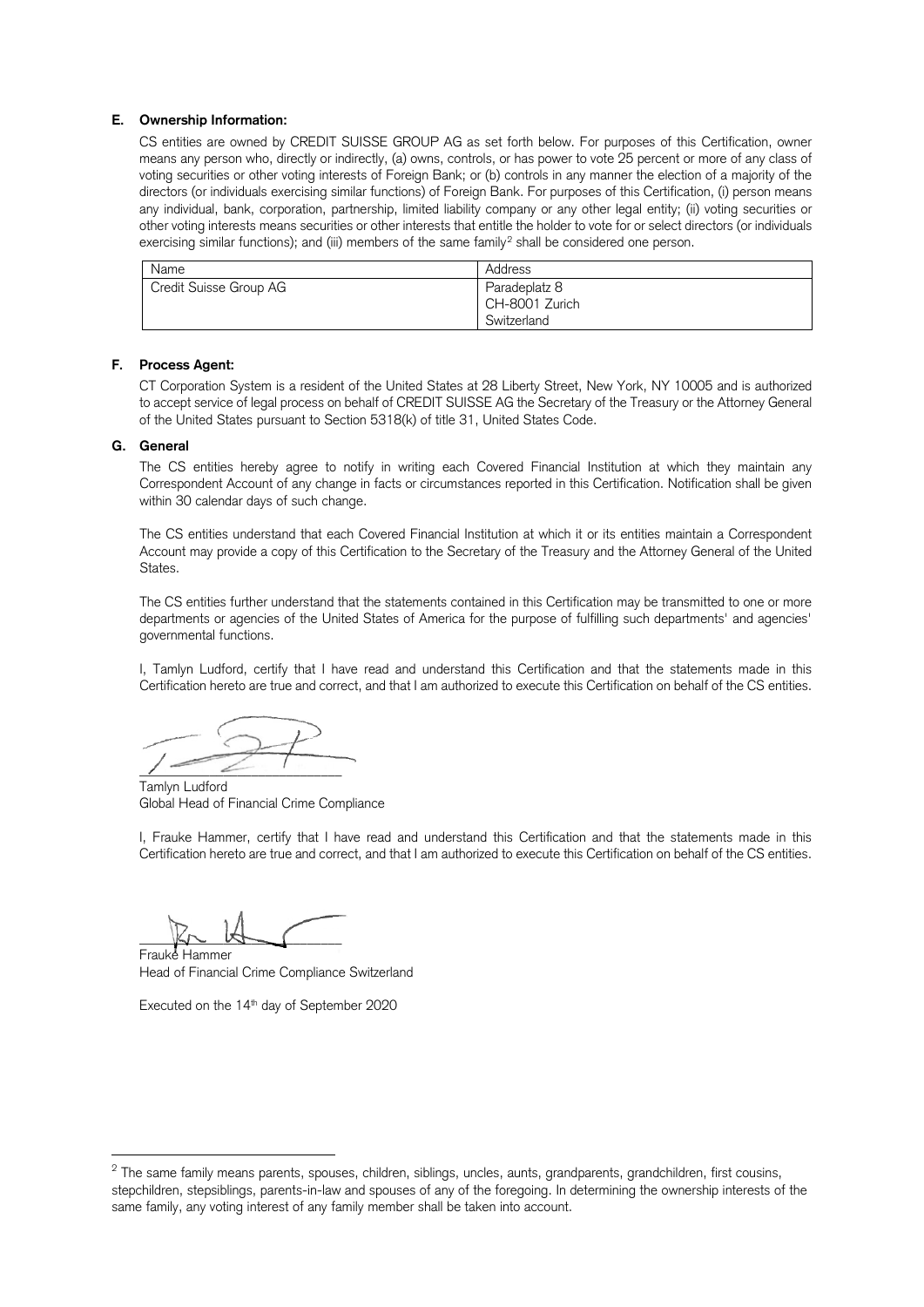#### **E. Ownership Information:**

CS entities are owned by CREDIT SUISSE GROUP AG as set forth below. For purposes of this Certification, owner means any person who, directly or indirectly, (a) owns, controls, or has power to vote 25 percent or more of any class of voting securities or other voting interests of Foreign Bank; or (b) controls in any manner the election of a majority of the directors (or individuals exercising similar functions) of Foreign Bank. For purposes of this Certification, (i) person means any individual, bank, corporation, partnership, limited liability company or any other legal entity; (ii) voting securities or other voting interests means securities or other interests that entitle the holder to vote for or select directors (or individuals exercising similar functions); and (iii) members of the same family<sup>[2](#page-1-0)</sup> shall be considered one person.

| Name                   | Address                         |
|------------------------|---------------------------------|
| Credit Suisse Group AG | Paradeplatz 8<br>CH-8001 Zurich |
|                        | Switzerland                     |

# **F. Process Agent:**

CT Corporation System is a resident of the United States at 28 Liberty Street, New York, NY 10005 and is authorized to accept service of legal process on behalf of CREDIT SUISSE AG the Secretary of the Treasury or the Attorney General of the United States pursuant to Section 5318(k) of title 31, United States Code.

#### **G. General**

The CS entities hereby agree to notify in writing each Covered Financial Institution at which they maintain any Correspondent Account of any change in facts or circumstances reported in this Certification. Notification shall be given within 30 calendar days of such change.

The CS entities understand that each Covered Financial Institution at which it or its entities maintain a Correspondent Account may provide a copy of this Certification to the Secretary of the Treasury and the Attorney General of the United States.

The CS entities further understand that the statements contained in this Certification may be transmitted to one or more departments or agencies of the United States of America for the purpose of fulfilling such departments' and agencies' governmental functions.

I, Tamlyn Ludford, certify that I have read and understand this Certification and that the statements made in this Certification hereto are true and correct, and that I am authorized to execute this Certification on behalf of the CS entities.

 $\mu = 2$ 

Tamlyn Ludford Global Head of Financial Crime Compliance

I, Frauke Hammer, certify that I have read and understand this Certification and that the statements made in this Certification hereto are true and correct, and that I am authorized to execute this Certification on behalf of the CS entities.

 $K\sim M$ 

Frauke Hammer Head of Financial Crime Compliance Switzerland

Executed on the 14<sup>th</sup> day of September 2020

<span id="page-1-0"></span><sup>&</sup>lt;sup>2</sup> The same family means parents, spouses, children, siblings, uncles, aunts, grandparents, grandchildren, first cousins, stepchildren, stepsiblings, parents-in-law and spouses of any of the foregoing. In determining the ownership interests of the same family, any voting interest of any family member shall be taken into account.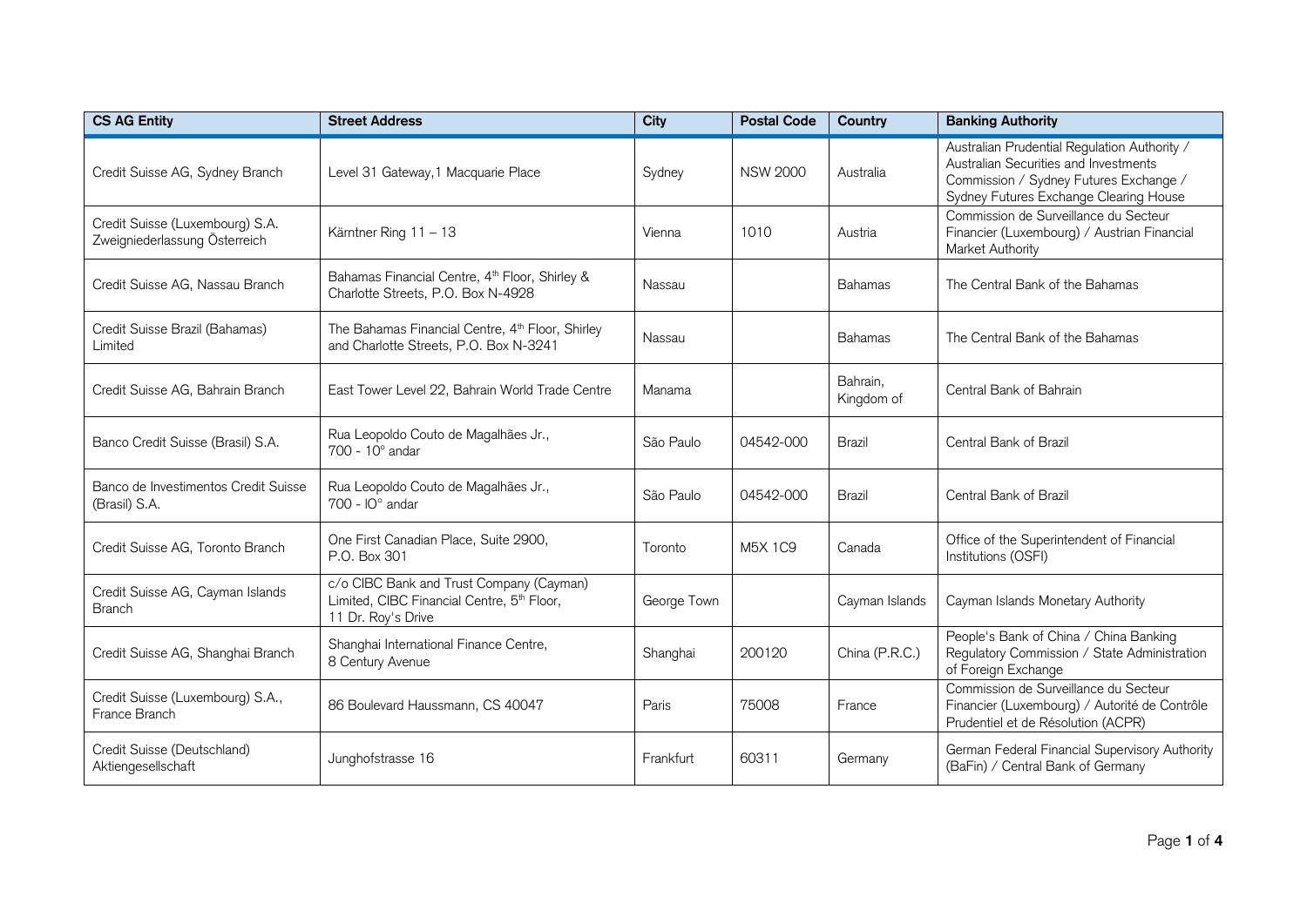| <b>CS AG Entity</b>                                              | <b>Street Address</b>                                                                                                    | <b>City</b> | <b>Postal Code</b> | Country                | <b>Banking Authority</b>                                                                                                                                                  |
|------------------------------------------------------------------|--------------------------------------------------------------------------------------------------------------------------|-------------|--------------------|------------------------|---------------------------------------------------------------------------------------------------------------------------------------------------------------------------|
| Credit Suisse AG, Sydney Branch                                  | Level 31 Gateway, 1 Macquarie Place                                                                                      | Sydney      | <b>NSW 2000</b>    | Australia              | Australian Prudential Regulation Authority /<br>Australian Securities and Investments<br>Commission / Sydney Futures Exchange /<br>Sydney Futures Exchange Clearing House |
| Credit Suisse (Luxembourg) S.A.<br>Zweigniederlassung Österreich | Kärntner Ring 11 - 13                                                                                                    | Vienna      | 1010               | Austria                | Commission de Surveillance du Secteur<br>Financier (Luxembourg) / Austrian Financial<br>Market Authority                                                                  |
| Credit Suisse AG, Nassau Branch                                  | Bahamas Financial Centre, 4 <sup>th</sup> Floor, Shirley &<br>Charlotte Streets, P.O. Box N-4928                         | Nassau      |                    | <b>Bahamas</b>         | The Central Bank of the Bahamas                                                                                                                                           |
| Credit Suisse Brazil (Bahamas)<br>Limited                        | The Bahamas Financial Centre, 4 <sup>th</sup> Floor, Shirley<br>and Charlotte Streets, P.O. Box N-3241                   | Nassau      |                    | <b>Bahamas</b>         | The Central Bank of the Bahamas                                                                                                                                           |
| Credit Suisse AG, Bahrain Branch                                 | East Tower Level 22, Bahrain World Trade Centre                                                                          | Manama      |                    | Bahrain,<br>Kingdom of | Central Bank of Bahrain                                                                                                                                                   |
| Banco Credit Suisse (Brasil) S.A.                                | Rua Leopoldo Couto de Magalhães Jr.,<br>700 - 10° andar                                                                  | São Paulo   | 04542-000          | <b>Brazil</b>          | Central Bank of Brazil                                                                                                                                                    |
| Banco de Investimentos Credit Suisse<br>(Brasil) S.A.            | Rua Leopoldo Couto de Magalhães Jr.,<br>$700 - 10^{\circ}$ andar                                                         | São Paulo   | 04542-000          | <b>Brazil</b>          | Central Bank of Brazil                                                                                                                                                    |
| Credit Suisse AG, Toronto Branch                                 | One First Canadian Place, Suite 2900,<br>P.O. Box 301                                                                    | Toronto     | M5X 1C9            | Canada                 | Office of the Superintendent of Financial<br>Institutions (OSFI)                                                                                                          |
| Credit Suisse AG, Cayman Islands<br><b>Branch</b>                | c/o CIBC Bank and Trust Company (Cayman)<br>Limited, CIBC Financial Centre, 5 <sup>th</sup> Floor,<br>11 Dr. Roy's Drive | George Town |                    | Cayman Islands         | Cayman Islands Monetary Authority                                                                                                                                         |
| Credit Suisse AG, Shanghai Branch                                | Shanghai International Finance Centre,<br>8 Century Avenue                                                               | Shanghai    | 200120             | China (P.R.C.)         | People's Bank of China / China Banking<br>Regulatory Commission / State Administration<br>of Foreign Exchange                                                             |
| Credit Suisse (Luxembourg) S.A.,<br>France Branch                | 86 Boulevard Haussmann, CS 40047                                                                                         | Paris       | 75008              | France                 | Commission de Surveillance du Secteur<br>Financier (Luxembourg) / Autorité de Contrôle<br>Prudentiel et de Résolution (ACPR)                                              |
| Credit Suisse (Deutschland)<br>Aktiengesellschaft                | Junghofstrasse 16                                                                                                        | Frankfurt   | 60311              | Germany                | German Federal Financial Supervisory Authority<br>(BaFin) / Central Bank of Germany                                                                                       |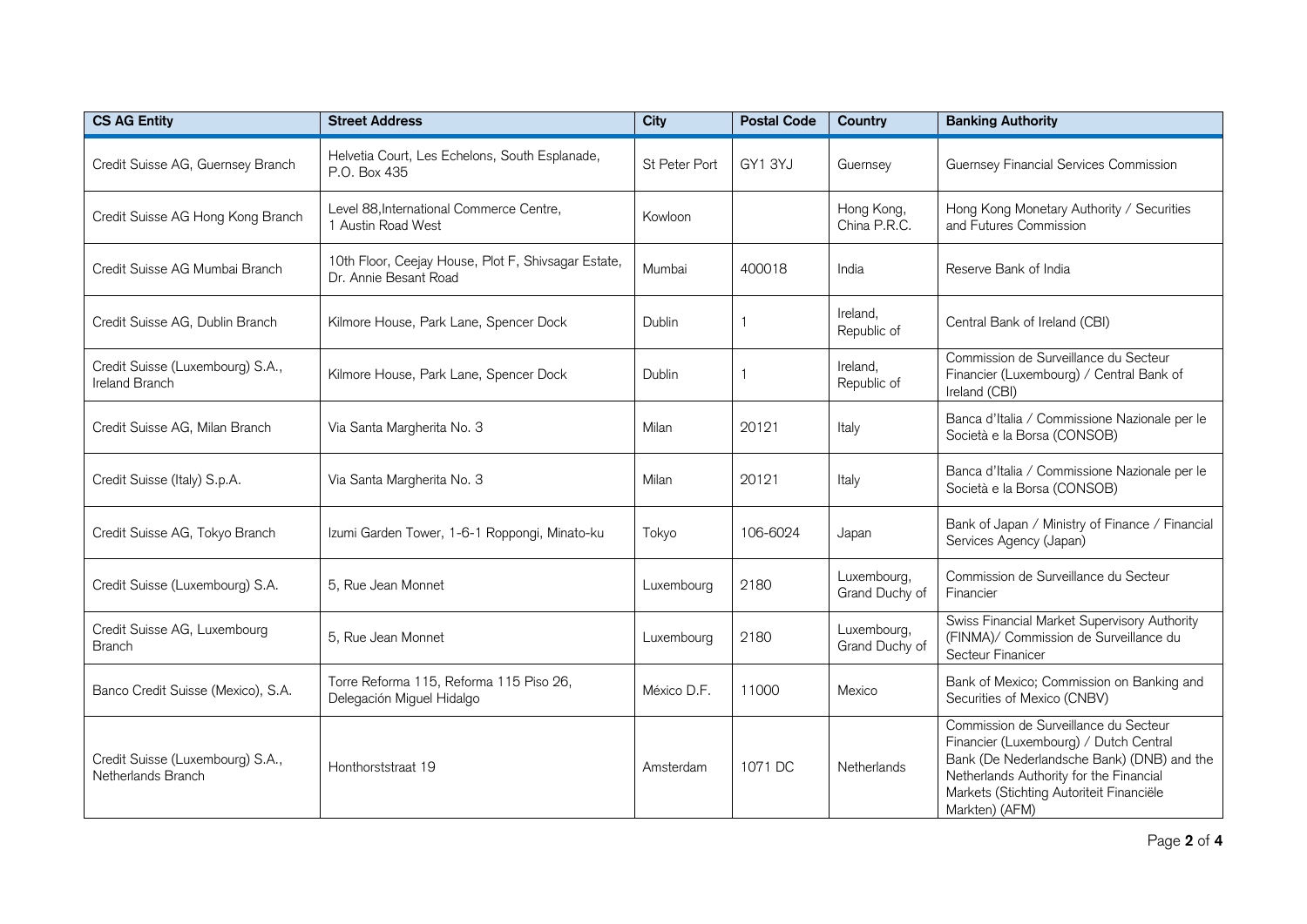| <b>CS AG Entity</b>                                    | <b>Street Address</b>                                                        | <b>City</b>   | <b>Postal Code</b> | Country                       | <b>Banking Authority</b>                                                                                                                                                                                                               |
|--------------------------------------------------------|------------------------------------------------------------------------------|---------------|--------------------|-------------------------------|----------------------------------------------------------------------------------------------------------------------------------------------------------------------------------------------------------------------------------------|
| Credit Suisse AG, Guernsey Branch                      | Helvetia Court, Les Echelons, South Esplanade,<br>P.O. Box 435               | St Peter Port | GY1 3YJ            | Guernsey                      | Guernsey Financial Services Commission                                                                                                                                                                                                 |
| Credit Suisse AG Hong Kong Branch                      | Level 88, International Commerce Centre,<br>1 Austin Road West               | Kowloon       |                    | Hong Kong,<br>China P.R.C.    | Hong Kong Monetary Authority / Securities<br>and Futures Commission                                                                                                                                                                    |
| Credit Suisse AG Mumbai Branch                         | 10th Floor, Ceejay House, Plot F, Shivsagar Estate,<br>Dr. Annie Besant Road | Mumbai        | 400018             | India                         | Reserve Bank of India                                                                                                                                                                                                                  |
| Credit Suisse AG, Dublin Branch                        | Kilmore House, Park Lane, Spencer Dock                                       | Dublin        |                    | Ireland,<br>Republic of       | Central Bank of Ireland (CBI)                                                                                                                                                                                                          |
| Credit Suisse (Luxembourg) S.A.,<br>Ireland Branch     | Kilmore House, Park Lane, Spencer Dock                                       | Dublin        |                    | Ireland.<br>Republic of       | Commission de Surveillance du Secteur<br>Financier (Luxembourg) / Central Bank of<br>Ireland (CBI)                                                                                                                                     |
| Credit Suisse AG, Milan Branch                         | Via Santa Margherita No. 3                                                   | Milan         | 20121              | Italy                         | Banca d'Italia / Commissione Nazionale per le<br>Società e la Borsa (CONSOB)                                                                                                                                                           |
| Credit Suisse (Italy) S.p.A.                           | Via Santa Margherita No. 3                                                   | Milan         | 20121              | Italy                         | Banca d'Italia / Commissione Nazionale per le<br>Società e la Borsa (CONSOB)                                                                                                                                                           |
| Credit Suisse AG, Tokyo Branch                         | Izumi Garden Tower, 1-6-1 Roppongi, Minato-ku                                | Tokyo         | 106-6024           | Japan                         | Bank of Japan / Ministry of Finance / Financial<br>Services Agency (Japan)                                                                                                                                                             |
| Credit Suisse (Luxembourg) S.A.                        | 5, Rue Jean Monnet                                                           | Luxembourg    | 2180               | Luxembourg,<br>Grand Duchy of | Commission de Surveillance du Secteur<br>Financier                                                                                                                                                                                     |
| Credit Suisse AG, Luxembourg<br><b>Branch</b>          | 5, Rue Jean Monnet                                                           | Luxembourg    | 2180               | Luxembourg,<br>Grand Duchy of | Swiss Financial Market Supervisory Authority<br>(FINMA)/ Commission de Surveillance du<br>Secteur Finanicer                                                                                                                            |
| Banco Credit Suisse (Mexico), S.A.                     | Torre Reforma 115, Reforma 115 Piso 26,<br>Delegación Miguel Hidalgo         | México D.F.   | 11000              | Mexico                        | Bank of Mexico; Commission on Banking and<br>Securities of Mexico (CNBV)                                                                                                                                                               |
| Credit Suisse (Luxembourg) S.A.,<br>Netherlands Branch | Honthorststraat 19                                                           | Amsterdam     | 1071 DC            | Netherlands                   | Commission de Surveillance du Secteur<br>Financier (Luxembourg) / Dutch Central<br>Bank (De Nederlandsche Bank) (DNB) and the<br>Netherlands Authority for the Financial<br>Markets (Stichting Autoriteit Financiële<br>Markten) (AFM) |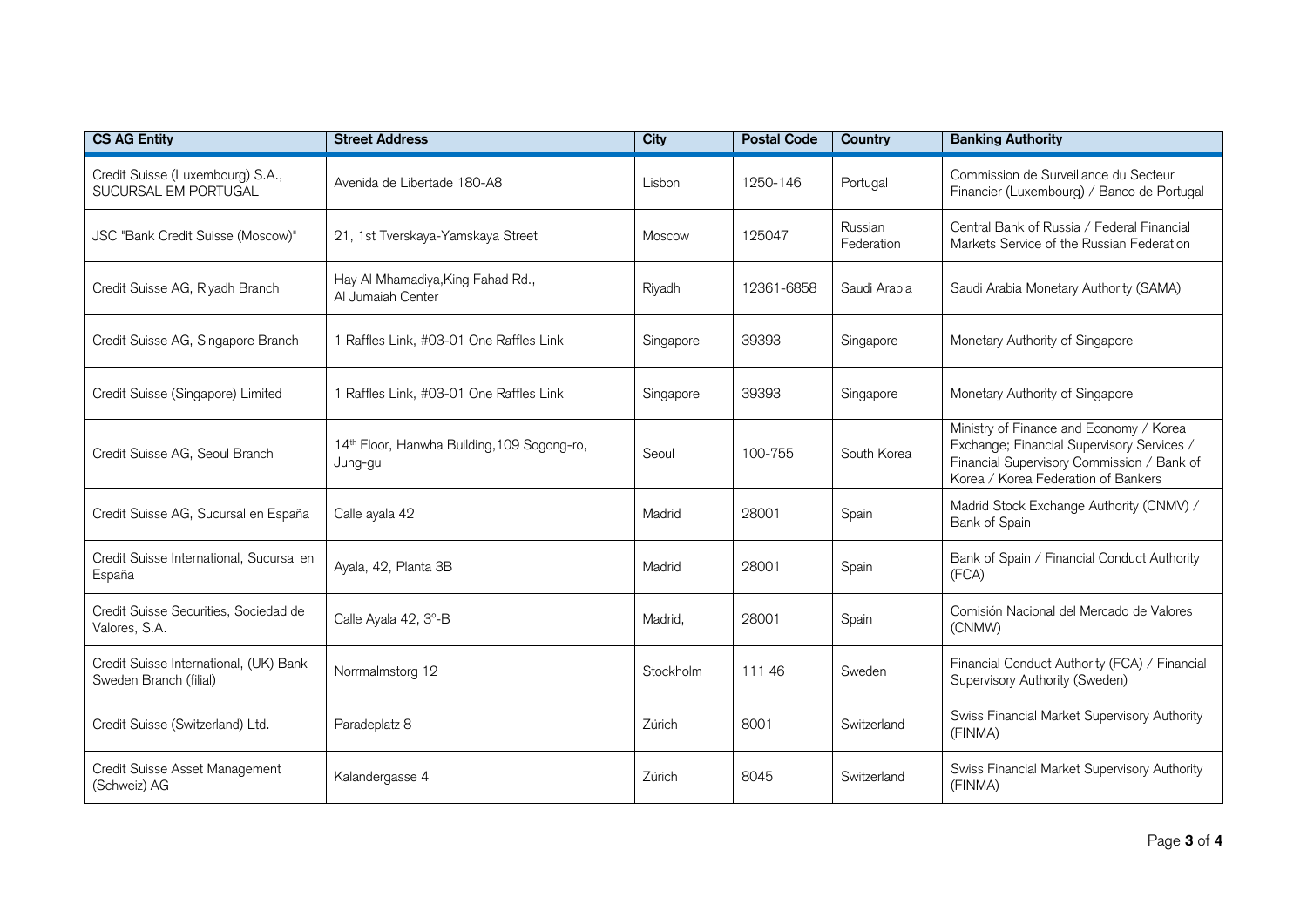| <b>CS AG Entity</b>                                              | <b>Street Address</b>                                              | <b>City</b>   | <b>Postal Code</b> | Country               | <b>Banking Authority</b>                                                                                                                                                   |
|------------------------------------------------------------------|--------------------------------------------------------------------|---------------|--------------------|-----------------------|----------------------------------------------------------------------------------------------------------------------------------------------------------------------------|
| Credit Suisse (Luxembourg) S.A.,<br>SUCURSAL EM PORTUGAL         | Avenida de Libertade 180-A8                                        | Lisbon        | 1250-146           | Portugal              | Commission de Surveillance du Secteur<br>Financier (Luxembourg) / Banco de Portugal                                                                                        |
| JSC "Bank Credit Suisse (Moscow)"                                | 21, 1st Tverskaya-Yamskaya Street                                  | <b>Moscow</b> | 125047             | Russian<br>Federation | Central Bank of Russia / Federal Financial<br>Markets Service of the Russian Federation                                                                                    |
| Credit Suisse AG, Riyadh Branch                                  | Hay Al Mhamadiya, King Fahad Rd.,<br>Al Jumaiah Center             | Riyadh        | 12361-6858         | Saudi Arabia          | Saudi Arabia Monetary Authority (SAMA)                                                                                                                                     |
| Credit Suisse AG, Singapore Branch                               | 1 Raffles Link, #03-01 One Raffles Link                            | Singapore     | 39393              | Singapore             | Monetary Authority of Singapore                                                                                                                                            |
| Credit Suisse (Singapore) Limited                                | 1 Raffles Link, #03-01 One Raffles Link                            | Singapore     | 39393              | Singapore             | Monetary Authority of Singapore                                                                                                                                            |
| Credit Suisse AG, Seoul Branch                                   | 14 <sup>th</sup> Floor, Hanwha Building, 109 Sogong-ro,<br>Jung-gu | Seoul         | 100-755            | South Korea           | Ministry of Finance and Economy / Korea<br>Exchange; Financial Supervisory Services /<br>Financial Supervisory Commission / Bank of<br>Korea / Korea Federation of Bankers |
| Credit Suisse AG, Sucursal en España                             | Calle ayala 42                                                     | Madrid        | 28001              | Spain                 | Madrid Stock Exchange Authority (CNMV) /<br>Bank of Spain                                                                                                                  |
| Credit Suisse International, Sucursal en<br>España               | Ayala, 42, Planta 3B                                               | Madrid        | 28001              | Spain                 | Bank of Spain / Financial Conduct Authority<br>(FCA)                                                                                                                       |
| Credit Suisse Securities, Sociedad de<br>Valores, S.A.           | Calle Ayala 42, 3°-B                                               | Madrid,       | 28001              | Spain                 | Comisión Nacional del Mercado de Valores<br>(CNMW)                                                                                                                         |
| Credit Suisse International, (UK) Bank<br>Sweden Branch (filial) | Norrmalmstorg 12                                                   | Stockholm     | 111 46             | Sweden                | Financial Conduct Authority (FCA) / Financial<br>Supervisory Authority (Sweden)                                                                                            |
| Credit Suisse (Switzerland) Ltd.                                 | Paradeplatz 8                                                      | Zürich        | 8001               | Switzerland           | Swiss Financial Market Supervisory Authority<br>(FINMA)                                                                                                                    |
| Credit Suisse Asset Management<br>(Schweiz) AG                   | Kalandergasse 4                                                    | Zürich        | 8045               | Switzerland           | Swiss Financial Market Supervisory Authority<br>(FINMA)                                                                                                                    |